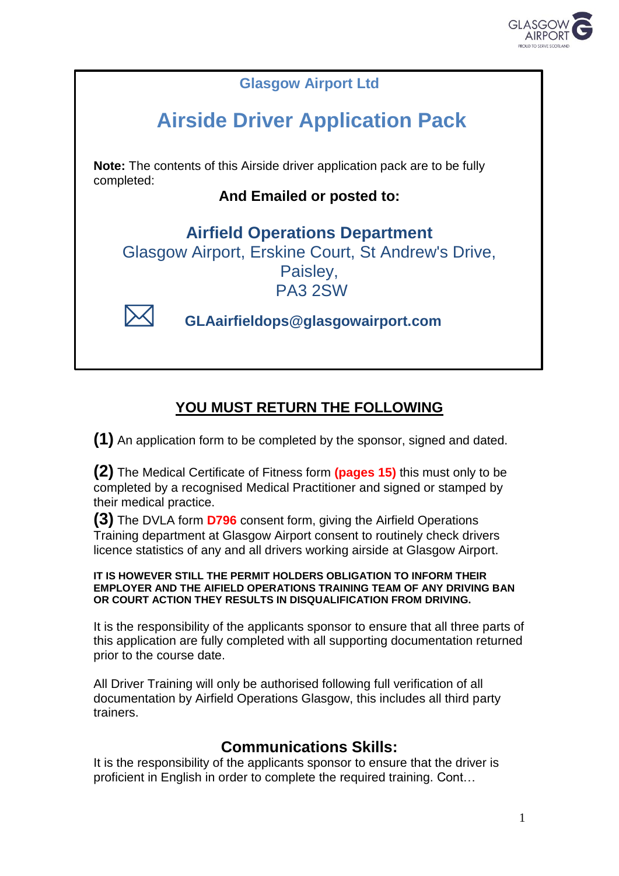



### **YOU MUST RETURN THE FOLLOWING**

**(1)** An application form to be completed by the sponsor, signed and dated.

**(2)** The Medical Certificate of Fitness form **(pages 15)** this must only to be completed by a recognised Medical Practitioner and signed or stamped by their medical practice.

**(3)** The DVLA form **D796** consent form, giving the Airfield Operations Training department at Glasgow Airport consent to routinely check drivers licence statistics of any and all drivers working airside at Glasgow Airport.

#### **IT IS HOWEVER STILL THE PERMIT HOLDERS OBLIGATION TO INFORM THEIR EMPLOYER AND THE AIFIELD OPERATIONS TRAINING TEAM OF ANY DRIVING BAN OR COURT ACTION THEY RESULTS IN DISQUALIFICATION FROM DRIVING.**

It is the responsibility of the applicants sponsor to ensure that all three parts of this application are fully completed with all supporting documentation returned prior to the course date.

All Driver Training will only be authorised following full verification of all documentation by Airfield Operations Glasgow, this includes all third party trainers.

### **Communications Skills:**

It is the responsibility of the applicants sponsor to ensure that the driver is proficient in English in order to complete the required training. Cont…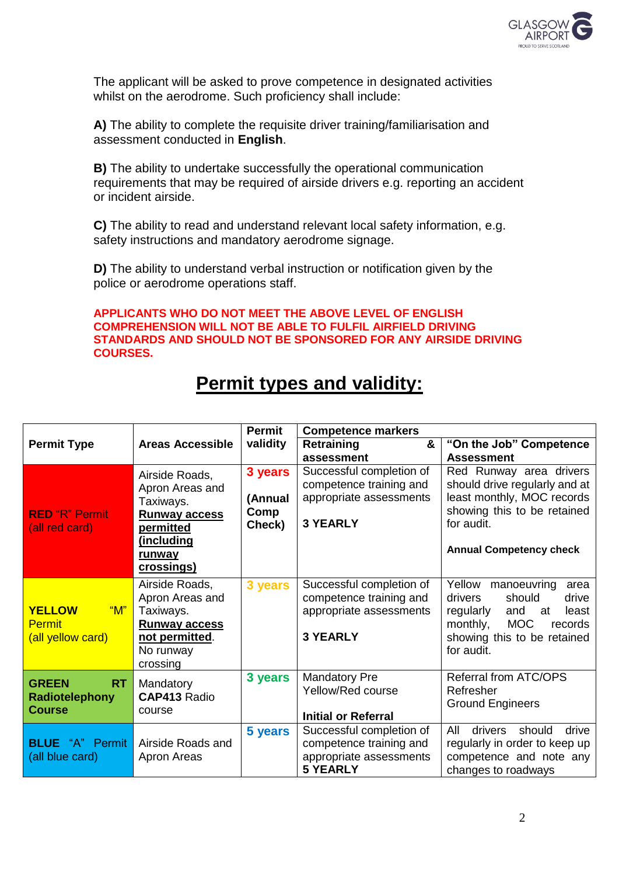

The applicant will be asked to prove competence in designated activities whilst on the aerodrome. Such proficiency shall include:

**A)** The ability to complete the requisite driver training/familiarisation and assessment conducted in **English**.

**B)** The ability to undertake successfully the operational communication requirements that may be required of airside drivers e.g. reporting an accident or incident airside.

**C)** The ability to read and understand relevant local safety information, e.g. safety instructions and mandatory aerodrome signage.

**D)** The ability to understand verbal instruction or notification given by the police or aerodrome operations staff.

**APPLICANTS WHO DO NOT MEET THE ABOVE LEVEL OF ENGLISH COMPREHENSION WILL NOT BE ABLE TO FULFIL AIRFIELD DRIVING STANDARDS AND SHOULD NOT BE SPONSORED FOR ANY AIRSIDE DRIVING COURSES.**

|                                                              |                                                                                                                                         | <b>Permit</b>                        | <b>Competence markers</b>                                                                         |                                                                                                                                                                                  |  |
|--------------------------------------------------------------|-----------------------------------------------------------------------------------------------------------------------------------------|--------------------------------------|---------------------------------------------------------------------------------------------------|----------------------------------------------------------------------------------------------------------------------------------------------------------------------------------|--|
| <b>Permit Type</b>                                           | <b>Areas Accessible</b>                                                                                                                 | validity                             | &<br><b>Retraining</b>                                                                            | "On the Job" Competence                                                                                                                                                          |  |
|                                                              |                                                                                                                                         |                                      | assessment                                                                                        | <b>Assessment</b>                                                                                                                                                                |  |
| <b>RED "R" Permit</b><br>(all red card)                      | Airside Roads,<br>Apron Areas and<br>Taxiways.<br><b>Runway access</b><br>permitted<br><u>(including</u><br>runway<br><u>crossings)</u> | 3 years<br>(Annual<br>Comp<br>Check) | Successful completion of<br>competence training and<br>appropriate assessments<br><b>3 YEARLY</b> | Red Runway area drivers<br>should drive regularly and at<br>least monthly, MOC records<br>showing this to be retained<br>for audit.<br><b>Annual Competency check</b>            |  |
| "M"<br><b>YELLOW</b><br><b>Permit</b><br>(all yellow card)   | Airside Roads,<br>Apron Areas and<br>Taxiways.<br><b>Runway access</b><br>not permitted.<br>No runway<br>crossing                       | 3 years                              | Successful completion of<br>competence training and<br>appropriate assessments<br><b>3 YEARLY</b> | Yellow<br>manoeuvring<br>area<br>should<br>drivers<br>drive<br>regularly<br>and<br>least<br>at<br><b>MOC</b><br>monthly,<br>records<br>showing this to be retained<br>for audit. |  |
| <b>GREEN</b><br><b>RT</b><br>Radiotelephony<br><b>Course</b> | Mandatory<br>CAP413 Radio<br>course                                                                                                     | 3 years                              | <b>Mandatory Pre</b><br>Yellow/Red course<br><b>Initial or Referral</b>                           | Referral from ATC/OPS<br>Refresher<br><b>Ground Engineers</b>                                                                                                                    |  |
| <b>BLUE</b> "A" Permit<br>(all blue card)                    | Airside Roads and<br>Apron Areas                                                                                                        | 5 years                              | Successful completion of<br>competence training and<br>appropriate assessments<br><b>5 YEARLY</b> | All<br>drivers<br>should<br>drive<br>regularly in order to keep up<br>competence and note any<br>changes to roadways                                                             |  |

## **Permit types and validity:**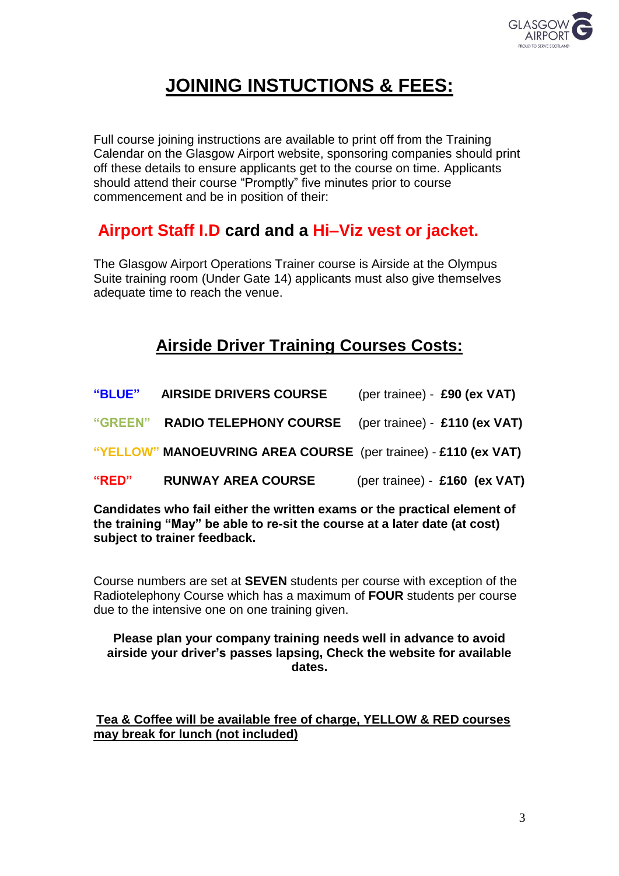

# **JOINING INSTUCTIONS & FEES:**

Full course joining instructions are available to print off from the Training Calendar on the Glasgow Airport website, sponsoring companies should print off these details to ensure applicants get to the course on time. Applicants should attend their course "Promptly" five minutes prior to course commencement and be in position of their:

## **Airport Staff I.D card and a Hi–Viz vest or jacket.**

The Glasgow Airport Operations Trainer course is Airside at the Olympus Suite training room (Under Gate 14) applicants must also give themselves adequate time to reach the venue.

## **Airside Driver Training Courses Costs:**

| "BLUE"         | <b>AIRSIDE DRIVERS COURSE</b>                                  | (per trainee) - £90 (ex VAT)  |
|----------------|----------------------------------------------------------------|-------------------------------|
| <b>"GREEN"</b> | <b>RADIO TELEPHONY COURSE</b> (per trainee) - £110 (ex VAT)    |                               |
|                | "YELLOW" MANOEUVRING AREA COURSE (per trainee) - £110 (ex VAT) |                               |
| "RED"          | <b>RUNWAY AREA COURSE</b>                                      | (per trainee) - £160 (ex VAT) |
|                |                                                                |                               |

**Candidates who fail either the written exams or the practical element of the training "May" be able to re-sit the course at a later date (at cost) subject to trainer feedback.**

Course numbers are set at **SEVEN** students per course with exception of the Radiotelephony Course which has a maximum of **FOUR** students per course due to the intensive one on one training given.

#### **Please plan your company training needs well in advance to avoid airside your driver's passes lapsing, Check the website for available dates.**

**Tea & Coffee will be available free of charge, YELLOW & RED courses may break for lunch (not included)**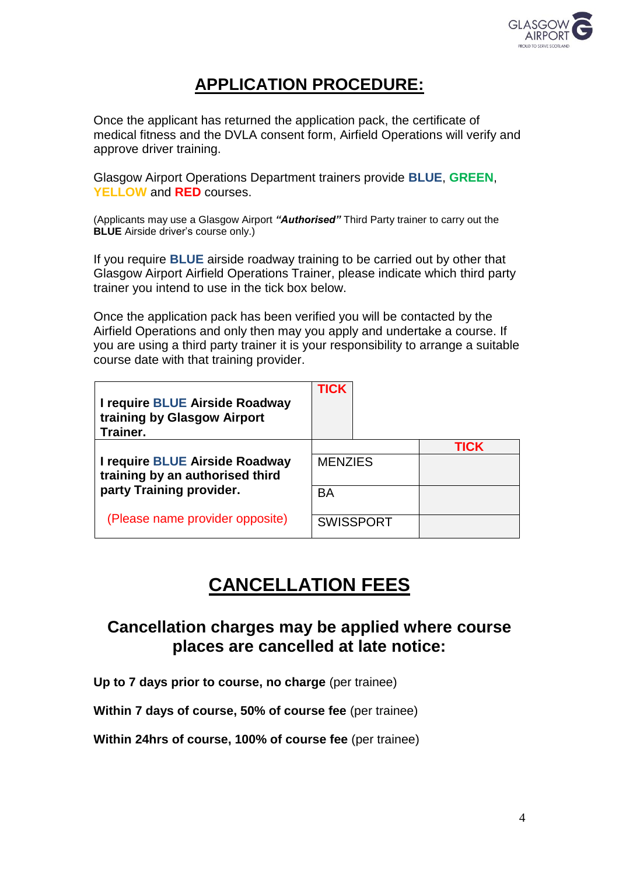

## **APPLICATION PROCEDURE:**

Once the applicant has returned the application pack, the certificate of medical fitness and the DVLA consent form, Airfield Operations will verify and approve driver training.

Glasgow Airport Operations Department trainers provide **BLUE**, **GREEN**, **YELLOW** and **RED** courses.

(Applicants may use a Glasgow Airport *"Authorised"* Third Party trainer to carry out the **BLUE** Airside driver's course only.)

If you require **BLUE** airside roadway training to be carried out by other that Glasgow Airport Airfield Operations Trainer, please indicate which third party trainer you intend to use in the tick box below.

Once the application pack has been verified you will be contacted by the Airfield Operations and only then may you apply and undertake a course. If you are using a third party trainer it is your responsibility to arrange a suitable course date with that training provider.

| I require BLUE Airside Roadway<br>training by Glasgow Airport<br>Trainer. | <b>TICK</b>    |                  |      |
|---------------------------------------------------------------------------|----------------|------------------|------|
| I require BLUE Airside Roadway<br>training by an authorised third         | <b>MENZIES</b> |                  | TICK |
| party Training provider.                                                  | BA             |                  |      |
| (Please name provider opposite)                                           |                | <b>SWISSPORT</b> |      |

## **CANCELLATION FEES**

## **Cancellation charges may be applied where course places are cancelled at late notice:**

**Up to 7 days prior to course, no charge** (per trainee)

**Within 7 days of course, 50% of course fee** (per trainee)

**Within 24hrs of course, 100% of course fee** (per trainee)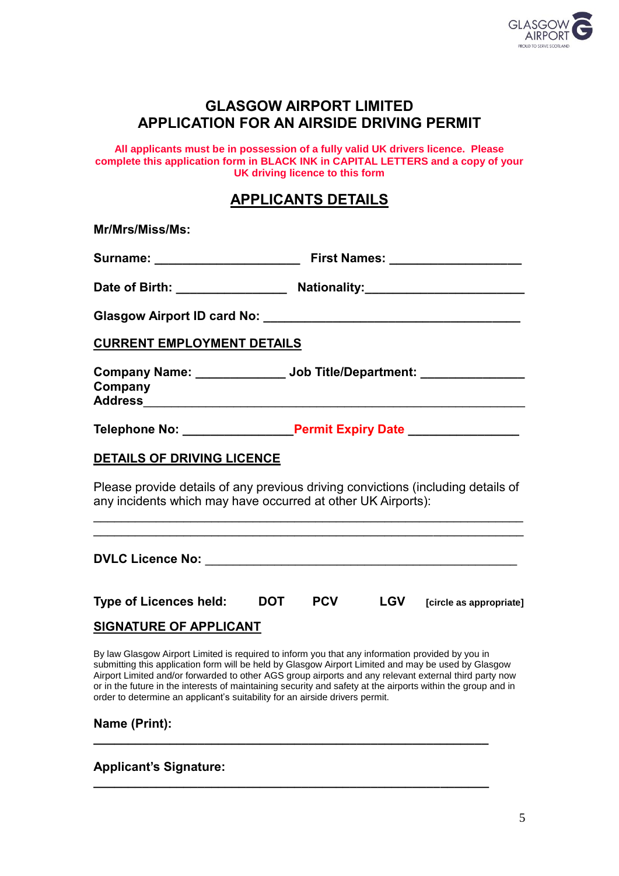

#### **GLASGOW AIRPORT LIMITED APPLICATION FOR AN AIRSIDE DRIVING PERMIT**

**All applicants must be in possession of a fully valid UK drivers licence. Please complete this application form in BLACK INK in CAPITAL LETTERS and a copy of your UK driving licence to this form**

#### **APPLICANTS DETAILS**

| Mr/Mrs/Miss/Ms:                                              |                                                                                  |
|--------------------------------------------------------------|----------------------------------------------------------------------------------|
|                                                              |                                                                                  |
|                                                              | Date of Birth: Nationality: Nationality:                                         |
|                                                              |                                                                                  |
| <b>CURRENT EMPLOYMENT DETAILS</b>                            |                                                                                  |
| Company                                                      | Company Name: _______________ Job Title/Department: ________________             |
|                                                              |                                                                                  |
| <b>DETAILS OF DRIVING LICENCE</b>                            |                                                                                  |
| any incidents which may have occurred at other UK Airports): | Please provide details of any previous driving convictions (including details of |
|                                                              |                                                                                  |

| <b>Type of Licences held:</b> | <b>DOT</b> | <b>PCV</b> |  | $LGV$ [circle as appropriate] |  |
|-------------------------------|------------|------------|--|-------------------------------|--|
|                               |            |            |  |                               |  |

**DVLC Licence No: DVLC**  $\blacksquare$ 

#### **SIGNATURE OF APPLICANT**

By law Glasgow Airport Limited is required to inform you that any information provided by you in submitting this application form will be held by Glasgow Airport Limited and may be used by Glasgow Airport Limited and/or forwarded to other AGS group airports and any relevant external third party now or in the future in the interests of maintaining security and safety at the airports within the group and in order to determine an applicant's suitability for an airside drivers permit.

**\_\_\_\_\_\_\_\_\_\_\_\_\_\_\_\_\_\_\_\_\_\_\_\_\_\_\_\_\_\_\_\_\_\_\_\_\_\_\_\_\_\_\_\_\_\_\_\_\_\_\_\_\_\_\_\_\_**

**\_\_\_\_\_\_\_\_\_\_\_\_\_\_\_\_\_\_\_\_\_\_\_\_\_\_\_\_\_\_\_\_\_\_\_\_\_\_\_\_\_\_\_\_\_\_\_\_\_\_\_\_\_\_\_\_\_**

| Name (Print): |
|---------------|
|               |

**Applicant's Signature:**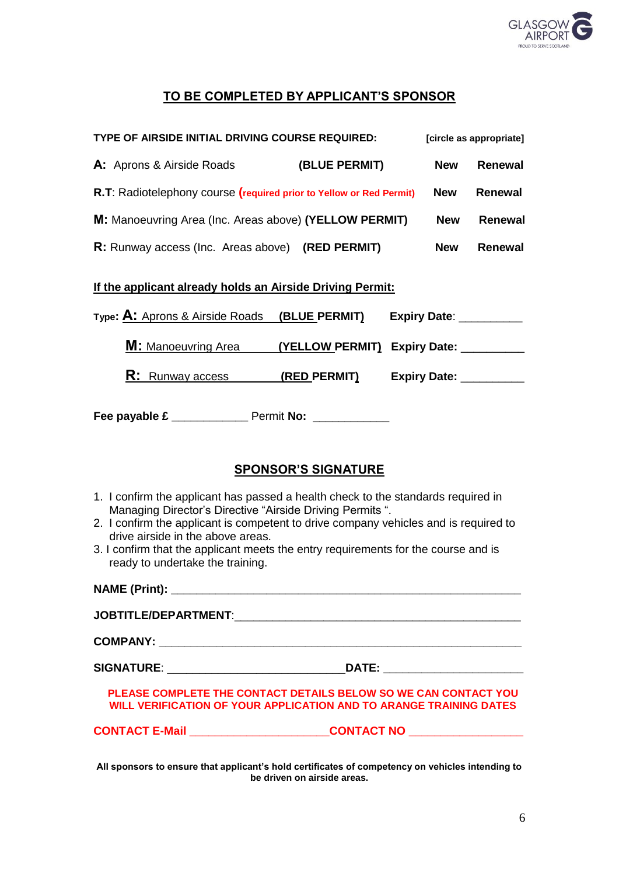

#### **TO BE COMPLETED BY APPLICANT'S SPONSOR**

| TYPE OF AIRSIDE INITIAL DRIVING COURSE REQUIRED:                                 |                                                                                                     |  | [circle as appropriate] |                |
|----------------------------------------------------------------------------------|-----------------------------------------------------------------------------------------------------|--|-------------------------|----------------|
| <b>A:</b> Aprons & Airside Roads                                                 | (BLUE PERMIT)                                                                                       |  | <b>New</b>              | <b>Renewal</b> |
|                                                                                  | R.T: Radiotelephony course (required prior to Yellow or Red Permit)<br><b>New</b><br><b>Renewal</b> |  |                         |                |
| M: Manoeuvring Area (Inc. Areas above) (YELLOW PERMIT)<br><b>New</b><br>Renewal  |                                                                                                     |  |                         |                |
| R: Runway access (Inc. Areas above) (RED PERMIT)<br><b>New</b><br><b>Renewal</b> |                                                                                                     |  |                         |                |
| If the applicant already holds an Airside Driving Permit:                        |                                                                                                     |  |                         |                |
| Type: A: Aprons & Airside Roads (BLUE PERMIT) Expiry Date: _______               |                                                                                                     |  |                         |                |
| <b>M:</b> Manoeuvring Area                                                       | (YELLOW PERMIT) Expiry Date:                                                                        |  |                         |                |
| R:<br>Runway access                                                              | (RED PERMIT) Expiry Date:                                                                           |  |                         |                |

**Fee payable £** Permit No:

#### **SPONSOR'S SIGNATURE**

- 1. I confirm the applicant has passed a health check to the standards required in Managing Director's Directive "Airside Driving Permits ".
- 2. I confirm the applicant is competent to drive company vehicles and is required to drive airside in the above areas.
- 3. I confirm that the applicant meets the entry requirements for the course and is ready to undertake the training.

| PLEASE COMPLETE THE CONTACT DETAILS BELOW SO WE CAN CONTACT YOU<br>WILL VERIFICATION OF YOUR APPLICATION AND TO ARANGE TRAINING DATES |  |
|---------------------------------------------------------------------------------------------------------------------------------------|--|
| <b>CONTACT E-Mail CONTACT NO</b>                                                                                                      |  |

**All sponsors to ensure that applicant's hold certificates of competency on vehicles intending to be driven on airside areas.**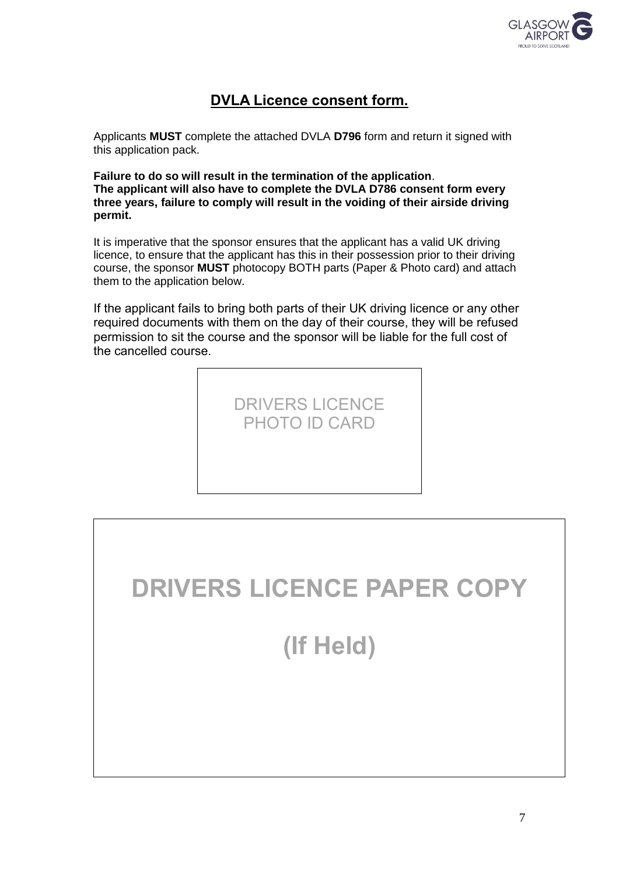

### **DVLA Licence consent form.**

Applicants **MUST** complete the attached DVLA **D796** form and return it signed with this application pack.

**Failure to do so will result in the termination of the application**. **The applicant will also have to complete the DVLA D786 consent form every three years, failure to comply will result in the voiding of their airside driving permit.**

It is imperative that the sponsor ensures that the applicant has a valid UK driving licence, to ensure that the applicant has this in their possession prior to their driving course, the sponsor **MUST** photocopy BOTH parts (Paper & Photo card) and attach them to the application below.

If the applicant fails to bring both parts of their UK driving licence or any other required documents with them on the day of their course, they will be refused permission to sit the course and the sponsor will be liable for the full cost of the cancelled course.



# **DRIVERS LICENCE PAPER COPY**

**(If Held)**